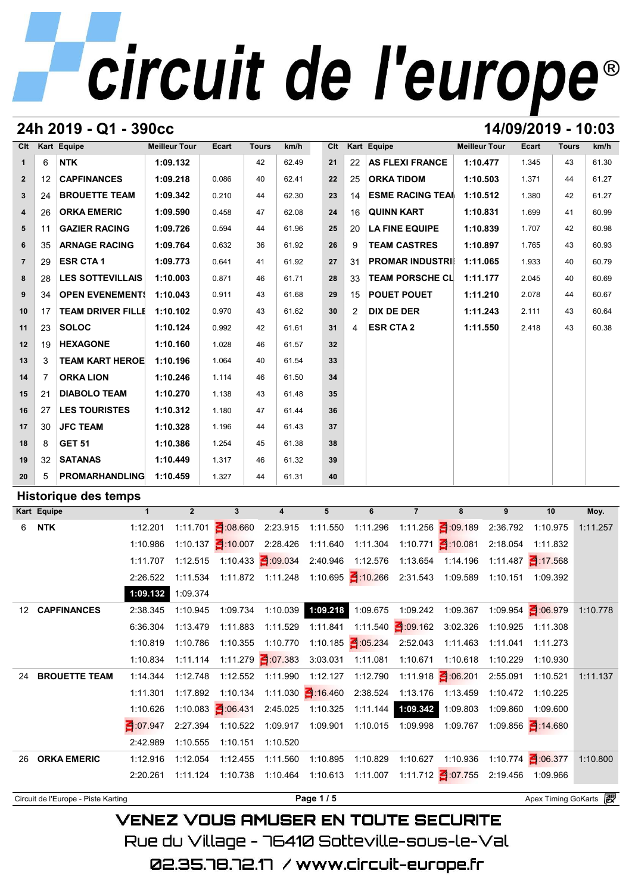# circuit de l'europe®

## **24h 2019 - Q1 - 390cc 14/09/2019 - 10:03**

| C <sub>It</sub> |                | Kart Equipe              | <b>Meilleur Tour</b> | Ecart | <b>Tours</b> | km/h  | Clt |    | Kart Equipe             | <b>Meilleur Tour</b> | <b>Ecart</b> | <b>Tours</b> | km/h  |
|-----------------|----------------|--------------------------|----------------------|-------|--------------|-------|-----|----|-------------------------|----------------------|--------------|--------------|-------|
| $\mathbf{1}$    | 6              | <b>NTK</b>               | 1:09.132             |       | 42           | 62.49 | 21  | 22 | <b>AS FLEXI FRANCE</b>  | 1:10.477             | 1.345        | 43           | 61.30 |
| $\overline{2}$  | 12             | <b>CAPFINANCES</b>       | 1:09.218             | 0.086 | 40           | 62.41 | 22  | 25 | <b>ORKA TIDOM</b>       | 1:10.503             | 1.371        | 44           | 61.27 |
| $\mathbf{3}$    | 24             | <b>BROUETTE TEAM</b>     | 1:09.342             | 0.210 | 44           | 62.30 | 23  | 14 | <b>ESME RACING TEAM</b> | 1:10.512             | 1.380        | 42           | 61.27 |
| $\overline{4}$  | 26             | <b>ORKA EMERIC</b>       | 1:09.590             | 0.458 | 47           | 62.08 | 24  | 16 | <b>QUINN KART</b>       | 1:10.831             | 1.699        | 41           | 60.99 |
| 5               | 11             | <b>GAZIER RACING</b>     | 1:09.726             | 0.594 | 44           | 61.96 | 25  | 20 | <b>LA FINE EQUIPE</b>   | 1:10.839             | 1.707        | 42           | 60.98 |
| 6               | 35             | <b>ARNAGE RACING</b>     | 1:09.764             | 0.632 | 36           | 61.92 | 26  | 9  | <b>TEAM CASTRES</b>     | 1:10.897             | 1.765        | 43           | 60.93 |
| $\overline{7}$  | 29             | <b>ESR CTA1</b>          | 1:09.773             | 0.641 | 41           | 61.92 | 27  | 31 | <b>PROMAR INDUSTRII</b> | 1:11.065             | 1.933        | 40           | 60.79 |
| 8               | 28             | <b>LES SOTTEVILLAIS</b>  | 1:10.003             | 0.871 | 46           | 61.71 | 28  | 33 | <b>TEAM PORSCHE CL</b>  | 1:11.177             | 2.045        | 40           | 60.69 |
| 9               | 34             | <b>OPEN EVENEMENT!</b>   | 1:10.043             | 0.911 | 43           | 61.68 | 29  | 15 | <b>POUET POUET</b>      | 1:11.210             | 2.078        | 44           | 60.67 |
| 10              | 17             | <b>TEAM DRIVER FILLE</b> | 1:10.102             | 0.970 | 43           | 61.62 | 30  | 2  | <b>DIX DE DER</b>       | 1:11.243             | 2.111        | 43           | 60.64 |
| 11              | 23             | <b>SOLOC</b>             | 1:10.124             | 0.992 | 42           | 61.61 | 31  | 4  | <b>ESR CTA 2</b>        | 1:11.550             | 2.418        | 43           | 60.38 |
| 12              | 19             | <b>HEXAGONE</b>          | 1:10.160             | 1.028 | 46           | 61.57 | 32  |    |                         |                      |              |              |       |
| 13              | 3              | <b>TEAM KART HEROE</b>   | 1:10.196             | 1.064 | 40           | 61.54 | 33  |    |                         |                      |              |              |       |
| 14              | $\overline{7}$ | <b>ORKA LION</b>         | 1:10.246             | 1.114 | 46           | 61.50 | 34  |    |                         |                      |              |              |       |
| 15              | 21             | <b>DIABOLO TEAM</b>      | 1:10.270             | 1.138 | 43           | 61.48 | 35  |    |                         |                      |              |              |       |
| 16              | 27             | <b>LES TOURISTES</b>     | 1:10.312             | 1.180 | 47           | 61.44 | 36  |    |                         |                      |              |              |       |
| 17              | 30             | <b>JFC TEAM</b>          | 1:10.328             | 1.196 | 44           | 61.43 | 37  |    |                         |                      |              |              |       |
| 18              | 8              | <b>GET 51</b>            | 1:10.386             | 1.254 | 45           | 61.38 | 38  |    |                         |                      |              |              |       |
| 19              | 32             | <b>SATANAS</b>           | 1:10.449             | 1.317 | 46           | 61.32 | 39  |    |                         |                      |              |              |       |
| 20              | 5              | <b>PROMARHANDLING</b>    | 1:10.459             | 1.327 | 44           | 61.31 | 40  |    |                         |                      |              |              |       |

## **Historique des temps**

| 20               | 5           | PROMARHANDLING 1:10.459             |              |             | 1.327                                                                            | 61.31<br>44       | 40       |                    |                                                  |                               |          |                                        |          |
|------------------|-------------|-------------------------------------|--------------|-------------|----------------------------------------------------------------------------------|-------------------|----------|--------------------|--------------------------------------------------|-------------------------------|----------|----------------------------------------|----------|
|                  |             | Historique des temps                |              |             |                                                                                  |                   |          |                    |                                                  |                               |          |                                        |          |
|                  | Kart Equipe |                                     | $\mathbf{1}$ | $2^{\circ}$ | 3                                                                                | $\overline{4}$    | 5        | 6                  | $\overline{7}$                                   | 8                             | 9        | 10                                     | Moy.     |
| 6                | <b>NTK</b>  |                                     | 1:12.201     |             | 1:11.701 $\blacksquare$ :08.660                                                  | 2:23.915          |          | 1:11.550  1:11.296 |                                                  | 1:11.256 1:09.189             | 2:36.792 | 1:10.975                               | 1:11.257 |
|                  |             |                                     | 1:10.986     |             | 1:10.137 $\frac{2}{3}$ :10.007 2:28.426                                          |                   |          | 1:11.640  1:11.304 |                                                  | 1:10.771 $\frac{3}{10.081}$   | 2:18.054 | 1:11.832                               |          |
|                  |             |                                     | 1:11.707     |             |                                                                                  |                   |          |                    | 2:40.946 1:12.576 1:13.654 1:14.196              |                               |          | 1:11.487 $\frac{3!}{1!}$ 17.568        |          |
|                  |             |                                     | 2:26.522     |             | 1:11.534 1:11.872 1:11.248 1:10.695 3:10.266 2:31.543 1:09.589 1:10.151 1:09.392 |                   |          |                    |                                                  |                               |          |                                        |          |
|                  |             |                                     | 1:09.132     | 1:09.374    |                                                                                  |                   |          |                    |                                                  |                               |          |                                        |          |
| 12 <sup>12</sup> |             | <b>CAPFINANCES</b>                  | 2:38.345     | 1:10.945    | 1:09.734                                                                         |                   |          |                    | 1:10.039  1:09.218  1:09.675  1:09.242  1:09.367 |                               |          | 1:09.954 3:06.979                      | 1:10.778 |
|                  |             |                                     | 6:36.304     | 1:13.479    | 1:11.883                                                                         | 1:11.529          | 1:11.841 |                    | 1:11.540 1:09.162                                | 3:02.326                      | 1:10.925 | 1:11.308                               |          |
|                  |             |                                     | 1:10.819     | 1:10.786    | 1:10.355                                                                         | 1:10.770          |          |                    | 1:10.185 $\frac{3}{105.234}$ 2:52.043            | 1:11.463                      | 1:11.041 | 1:11.273                               |          |
|                  |             |                                     | 1:10.834     |             |                                                                                  |                   | 3:03.031 | 1:11.081           | 1:10.671                                         | 1:10.618                      | 1:10.229 | 1:10.930                               |          |
| 24               |             | <b>BROUETTE TEAM</b>                | 1:14.344     | 1:12.748    |                                                                                  | 1:12.552 1:11.990 |          | 1:12.127  1:12.790 |                                                  | 1:11.918 $\frac{3}{5}$ 06.201 | 2:55.091 | 1:10.521                               | 1:11.137 |
|                  |             |                                     | 1:11.301     |             | 1:17.892  1:10.134  1:11.030  16.460  2:38.524  1:13.176  1:13.459               |                   |          |                    |                                                  |                               | 1:10.472 | 1:10.225                               |          |
|                  |             |                                     | 1:10.626     |             | 1:10.083 1:06.431                                                                | 2:45.025          | 1:10.325 |                    | 1:11.144 1:09.342                                | 1:09.803                      | 1:09.860 | 1:09.600                               |          |
|                  |             |                                     | 3 07 947     |             | 2:27.394 1:10.522 1:09.917                                                       |                   |          |                    | 1:09.901  1:10.015  1:09.998  1:09.767           |                               |          | 1:09.856 14.680                        |          |
|                  |             |                                     | 2:42.989     | 1:10.555    | 1:10.151                                                                         | 1:10.520          |          |                    |                                                  |                               |          |                                        |          |
| 26               |             | <b>ORKA EMERIC</b>                  | 1:12.916     | 1:12.054    | 1:12.455                                                                         | 1:11.560          | 1:10.895 | 1:10.829           |                                                  |                               |          | 1:10.627  1:10.936  1:10.774  1:06.377 | 1:10.800 |
|                  |             |                                     | 2:20.261     |             | 1:11.124  1:10.738  1:10.464  1:10.613  1:11.007  1:11.712  1:07.755             |                   |          |                    |                                                  |                               |          | 2:19.456 1:09.966                      |          |
|                  |             | Circuit de l'Europe - Piste Karting |              |             |                                                                                  |                   | Page 1/5 |                    |                                                  |                               |          | Apex Timing GoKarts                    |          |

**VENEZ VOUS AMUSER EN TOUTE SECURITE** Rue du Village – 76410 Sotteville-sous-le-Val

02.35.78.72.17 / www.circuit-europe.fr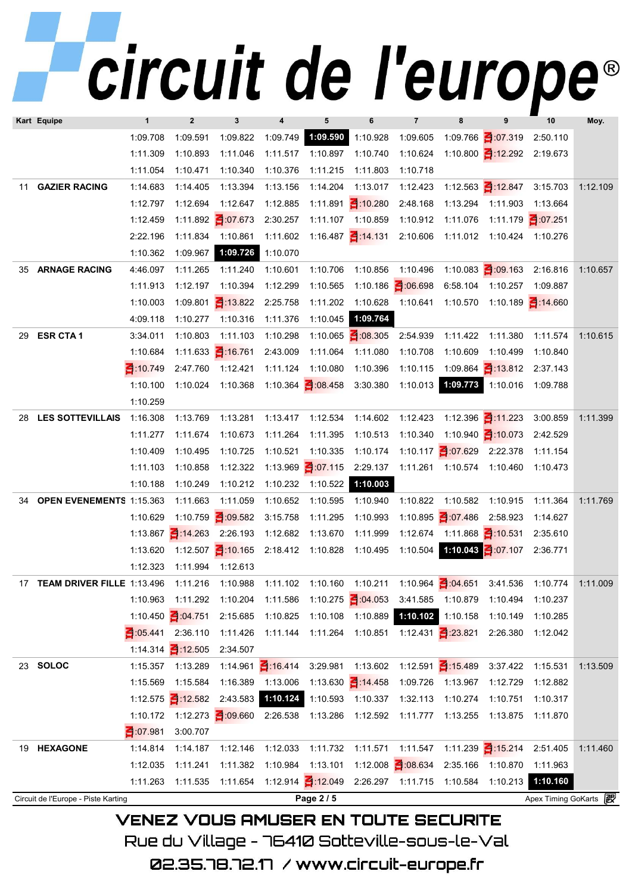|     |                                     |              | I VUIL                        |                             |                                                            | UV              |                   |                                                       | иг                          |                                                       |                     |          |
|-----|-------------------------------------|--------------|-------------------------------|-----------------------------|------------------------------------------------------------|-----------------|-------------------|-------------------------------------------------------|-----------------------------|-------------------------------------------------------|---------------------|----------|
|     | Kart Equipe                         | $\mathbf{1}$ | $\mathbf{2}$                  | 3                           | 4                                                          | 5               | 6                 | $\overline{7}$                                        | 8                           | 9                                                     | 10                  | Moy.     |
|     |                                     | 1:09.708     | 1:09.591                      | 1:09.822                    | 1:09.749                                                   | 1:09.590        | 1:10.928          | 1:09.605                                              |                             | 1:09.766 3:07.319                                     | 2:50.110            |          |
|     |                                     | 1:11.309     | 1:10.893                      | 1:11.046                    | 1:11.517                                                   | 1:10.897        | 1:10.740          | 1:10.624                                              |                             | 1:10.800 1:12.292 2:19.673                            |                     |          |
|     |                                     | 1:11.054     | 1:10.471                      | 1:10.340                    | 1:10.376                                                   | 1:11.215        | 1:11.803          | 1:10.718                                              |                             |                                                       |                     |          |
| 11  | <b>GAZIER RACING</b>                | 1:14.683     | 1:14.405                      | 1:13.394                    | 1:13.156                                                   | 1:14.204        | 1:13.017          | 1:12.423                                              |                             | 1:12.563 1:12.847                                     | 3:15.703            | 1:12.109 |
|     |                                     | 1:12.797     | 1:12.694                      | 1:12.647                    | 1:12.885                                                   |                 | 1:11.891 10.280   | 2:48.168                                              |                             | 1:13.294 1:11.903                                     | 1:13.664            |          |
|     |                                     | 1:12.459     |                               | 1:11.892 3:07.673           | 2:30.257                                                   |                 | 1:11.107 1:10.859 | 1:10.912                                              | 1:11.076                    | 1:11.179 3:07.251                                     |                     |          |
|     |                                     | 2:22.196     | 1:11.834                      | 1:10.861                    | 1:11.602                                                   |                 |                   |                                                       |                             | 1:16.487 1:14.131 2:10.606 1:11.012 1:10.424 1:10.276 |                     |          |
|     |                                     | 1:10.362     | 1:09.967                      | 1:09.726                    | 1:10.070                                                   |                 |                   |                                                       |                             |                                                       |                     |          |
| 35  | <b>ARNAGE RACING</b>                | 4:46.097     | 1:11.265                      | 1:11.240                    | 1:10.601                                                   | 1:10.706        | 1:10.856          | 1:10.496                                              |                             | 1:10.083 $\leq$ :09.163                               | 2:16.816            | 1:10.657 |
|     |                                     | 1:11.913     | 1:12.197                      | 1:10.394                    | 1:12.299                                                   | 1:10.565        |                   | 1:10.186 3:06.698                                     |                             | 6:58.104 1:10.257 1:09.887                            |                     |          |
|     |                                     | 1:10.003     |                               | 1:09.801 13.822             | 2:25.758                                                   | 1:11.202        |                   | 1:10.628  1:10.641                                    |                             | 1:10.570  1:10.189   1:14.660                         |                     |          |
|     |                                     | 4:09.118     | 1:10.277                      | 1:10.316                    | 1:11.376                                                   | 1:10.045        | 1:09.764          |                                                       |                             |                                                       |                     |          |
| 29  | <b>ESR CTA1</b>                     | 3:34.011     | 1:10.803                      | 1:11.103                    | 1:10.298                                                   |                 | 1:10.065 305      | 2:54.939                                              | 1:11.422                    | 1:11.380                                              | 1:11.574            | 1:10.615 |
|     |                                     | 1:10.684     |                               | 1:11.633 $\frac{3}{16.761}$ | 2:43.009                                                   | 1:11.064        | 1:11.080          | 1:10.708                                              | 1:10.609                    | 1:10.499                                              | 1:10.840            |          |
|     |                                     | 3 10 749     | 2:47.760                      | 1:12.421                    | 1:11.124                                                   | 1:10.080        | 1:10.396          | 1:10.115                                              |                             | 1:09.864 1:13.812 2:37.143                            |                     |          |
|     |                                     | 1:10.100     | 1:10.024                      |                             |                                                            |                 |                   | 1:10.013                                              |                             | 1:09.773 1:10.016 1:09.788                            |                     |          |
|     |                                     | 1:10.259     |                               |                             |                                                            |                 |                   |                                                       |                             |                                                       |                     |          |
| 28. | <b>LES SOTTEVILLAIS</b>             | 1:16.308     | 1:13.769                      | 1:13.281                    | 1:13.417                                                   | 1:12.534        | 1:14.602          | 1:12.423                                              |                             | 1:12.396 $\frac{3!}{2!}$ :11.223                      | 3:00.859            | 1:11.399 |
|     |                                     | 1:11.277     | 1:11.674                      | 1:10.673                    | 1:11.264                                                   | 1:11.395        | 1:10.513          | 1:10.340                                              |                             | 1:10.940 $\frac{110.073}{2}$                          | 2:42.529            |          |
|     |                                     | 1:10.409     | 1:10.495                      | 1:10.725                    | 1:10.521                                                   | 1:10.335        | 1:10.174          |                                                       |                             | 1:10.117 $\leq$ :07.629 2:22.378                      | 1:11.154            |          |
|     |                                     | 1:11.103     | 1:10.858                      | 1:12.322                    |                                                            |                 |                   | 1:13.969 1:07.115 2:29.137 1:11.261 1:10.574 1:10.460 |                             |                                                       | 1:10.473            |          |
|     |                                     | 1:10.188     | 1:10.249                      | 1:10.212                    | 1:10.232                                                   | 1:10.522        | 1:10.003          |                                                       |                             |                                                       |                     |          |
| 34  | <b>OPEN EVENEMENTS 1:15.363</b>     |              | 1:11.663                      | 1:11.059                    | 1:10.652                                                   | 1:10.595        | 1:10.940          | 1:10.822                                              | 1:10.582                    | 1:10.915                                              | 1:11.364            | 1:11.769 |
|     |                                     | 1:10.629     |                               | 1:10.759 3:09.582           | 3:15.758                                                   | 1:11.295        | 1:10.993          |                                                       | 1:10.895 - :07.486 2:58.923 |                                                       | 1:14.627            |          |
|     |                                     |              | 1:13.867 $\frac{2}{1}$ 14.263 | 2:26.193                    | 1:12.682                                                   | 1:13.670        | 1:11.999          | 1:12.674                                              |                             | 1:11.868 $\frac{3}{10.531}$                           | 2:35.610            |          |
|     |                                     |              |                               |                             | 1:13.620  1:12.507  1:10.165  2:18.412  1:10.828  1:10.495 |                 |                   | 1:10.504                                              |                             | 1:10.043 - :07.107 2:36.771                           |                     |          |
|     |                                     | 1:12.323     | 1:11.994                      | 1:12.613                    |                                                            |                 |                   |                                                       |                             |                                                       |                     |          |
| 17  | <b>TEAM DRIVER FILLE 1:13.496</b>   |              | 1:11.216                      | 1:10.988                    | 1:11.102                                                   | 1:10.160        | 1:10.211          |                                                       | 1:10.964 3:04.651           | 3:41.536                                              | 1:10.774            | 1:11.009 |
|     |                                     | 1:10.963     | 1:11.292                      | 1:10.204                    | 1:11.586                                                   |                 | 1:10.275 3:04.053 | 3:41.585                                              | 1:10.879                    | 1:10.494                                              | 1:10.237            |          |
|     |                                     |              | 1:10.450 3:04.751             | 2:15.685                    | 1:10.825                                                   | 1:10.108        | 1:10.889          | 1:10.102                                              | 1:10.158                    | 1:10.149                                              | 1:10.285            |          |
|     |                                     | 305441       | 2:36.110                      | 1:11.426                    | 1:11.144                                                   | 1:11.264        | 1:10.851          |                                                       | 1:12.431 23.821             | 2:26.380                                              | 1:12.042            |          |
|     |                                     | 1:14.314     | 312.505                       | 2:34.507                    |                                                            |                 |                   |                                                       |                             |                                                       |                     |          |
|     | 23 SOLOC                            | 1:15.357     | 1:13.289                      |                             | 1:14.961 $\leq$ 16.414                                     | 3:29.981        | 1:13.602          |                                                       | 1:12.591 $\frac{3}{15.489}$ | 3:37.422                                              | 1:15.531            | 1:13.509 |
|     |                                     | 1:15.569     | 1:15.584                      | 1:16.389                    | 1:13.006                                                   |                 | 1:13.630 14.458   | 1:09.726                                              | 1:13.967                    | 1:12.729                                              | 1:12.882            |          |
|     |                                     | 1:12.575     | $\frac{2}{3}$ :12.582         | 2:43.583                    | 1:10.124                                                   |                 | 1:10.593 1:10.337 | 1:32.113                                              | 1:10.274                    | 1:10.751                                              | 1:10.317            |          |
|     |                                     | 1:10.172     |                               | 1:12.273 1:09.660           | 2:26.538                                                   | 1:13.286        | 1:12.592          | 1:11.777                                              | 1:13.255                    | 1:13.875                                              | 1:11.870            |          |
|     |                                     | 3 07 981     | 3:00.707                      |                             |                                                            |                 |                   |                                                       |                             |                                                       |                     |          |
|     | 19 HEXAGONE                         | 1:14.814     | 1:14.187                      | 1:12.146                    | 1:12.033                                                   | 1:11.732        | 1:11.571          | 1:11.547                                              |                             | 1:11.239 15.214                                       | 2:51.405            | 1:11.460 |
|     |                                     | 1:12.035     | 1:11.241                      | 1:11.382                    | 1:10.984                                                   | 1:13.101        |                   | 1:12.008 $308.634$                                    | 2:35.166                    | 1:10.870                                              | 1:11.963            |          |
|     |                                     | 1:11.263     | 1:11.535                      | 1:11.654                    |                                                            | 1:12.914 12.049 |                   | 2:26.297 1:11.715                                     | 1:10.584                    | 1:10.213                                              | 1:10.160            |          |
|     | Circuit de l'Europe - Piste Karting |              |                               |                             |                                                            | Page 2 / 5      |                   |                                                       |                             |                                                       | Apex Timing GoKarts | 毆        |

Rue du Village – 76410 Sotteville–sous–le–Val

02.35.78.72.17 /www.circuit-europe.fr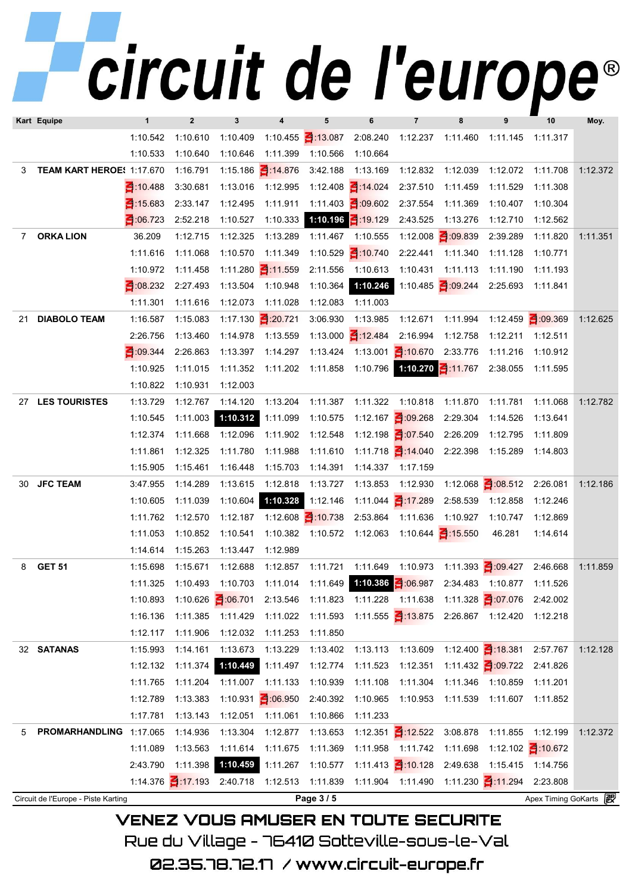|                |                                     |              | TUUTL UU          |                              |                   |                                                                |                                |                                        |                                | UUI V                                                                   |                       |          |
|----------------|-------------------------------------|--------------|-------------------|------------------------------|-------------------|----------------------------------------------------------------|--------------------------------|----------------------------------------|--------------------------------|-------------------------------------------------------------------------|-----------------------|----------|
|                | Kart Equipe                         | $\mathbf{1}$ | $\mathbf{2}$      | 3                            | 4                 | 5                                                              | 6                              | $\overline{\phantom{a}}$               | 8                              | 9                                                                       | 10                    | Moy.     |
|                |                                     | 1:10.542     | 1:10.610          | 1:10.409                     |                   | 1:10.455 1:13.087                                              | 2:08.240                       | 1:12.237                               | 1:11.460                       | 1:11.145 1:11.317                                                       |                       |          |
|                |                                     | 1:10.533     | 1:10.640          | 1:10.646                     | 1:11.399          | 1:10.566                                                       | 1:10.664                       |                                        |                                |                                                                         |                       |          |
| 3              | TEAM KART HEROE! 1:17.670           |              | 1:16.791          | 1:15.186 1:14.876            |                   | 3:42.188                                                       | 1:13.169                       | 1:12.832                               | 1:12.039                       | 1:12.072                                                                | 1:11.708              | 1:12.372 |
|                |                                     | 3 10 488     | 3:30.681          | 1:13.016 1:12.995            |                   |                                                                | 1:12.408 14.024                | 2:37.510                               | 1:11.459                       | 1:11.529                                                                | 1:11.308              |          |
|                |                                     | 3:15.683     | 2:33.147          | 1:12.495                     | 1:11.911          |                                                                | 1:11.403 - :09.602 2:37.554    |                                        | 1:11.369                       | 1:10.407                                                                | 1:10.304              |          |
|                |                                     | 3 06.723     | 2:52.218          | 1:10.527                     | 1:10.333          |                                                                | 1:10.196 $\frac{2}{1}$ 19.129  | 2:43.525                               | 1:13.276                       | 1:12.710                                                                | 1:12.562              |          |
| $\overline{7}$ | <b>ORKA LION</b>                    | 36.209       | 1:12.715          | 1:12.325                     | 1:13.289          | 1:11.467                                                       | 1:10.555                       |                                        | 1:12.008 $\frac{2}{3}$ :09.839 | 2:39.289                                                                | 1:11.820              | 1:11.351 |
|                |                                     | 1:11.616     | 1:11.068          | 1:10.570                     | 1:11.349          |                                                                | 1:10.529 10.740                | 2:22.441                               | 1:11.340                       | 1:11.128                                                                | 1:10.771              |          |
|                |                                     | 1:10.972     | 1:11.458          |                              | 1:11.280 1:11.559 | 2:11.556                                                       | 1:10.613                       | 1:10.431                               | 1:11.113                       | 1:11.190                                                                | 1:11.193              |          |
|                |                                     | 3.08.232     | 2:27.493          | 1:13.504 1:10.948            |                   | 1:10.364                                                       | 1:10.246                       |                                        | 1:10.485 $\frac{2}{109.244}$   | 2:25.693                                                                | 1:11.841              |          |
|                |                                     | 1:11.301     | 1:11.616          | 1:12.073                     | 1:11.028          | 1:12.083                                                       | 1:11.003                       |                                        |                                |                                                                         |                       |          |
| 21             | <b>DIABOLO TEAM</b>                 | 1:16.587     | 1:15.083          | 1:17.130 20.721              |                   | 3:06.930                                                       | 1:13.985                       | 1:12.671                               | 1:11.994                       |                                                                         | 1:12.459 3:09.369     | 1:12.625 |
|                |                                     | 2:26.756     | 1:13.460          | 1:14.978                     | 1:13.559          |                                                                | 1:13.000 12.484                | 2:16.994                               | 1:12.758                       | 1:12.211                                                                | 1:12.511              |          |
|                |                                     | 344          | 2:26.863          | 1:13.397                     | 1:14.297          |                                                                | 1:13.424  1:13.001   1:10.670  |                                        | 2:33.776                       | 1:11.216                                                                | 1:10.912              |          |
|                |                                     | 1:10.925     | 1:11.015          | 1:11.352 1:11.202            |                   |                                                                |                                | 1:11.858  1:10.796  1:10.270  1:11.767 |                                | 2:38.055                                                                | 1:11.595              |          |
|                |                                     | 1:10.822     | 1:10.931          | 1:12.003                     |                   |                                                                |                                |                                        |                                |                                                                         |                       |          |
| 27             | <b>LES TOURISTES</b>                | 1:13.729     | 1:12.767          | 1:14.120                     | 1:13.204          | 1:11.387                                                       | 1:11.322                       | 1:10.818                               | 1:11.870                       | 1:11.781                                                                | 1:11.068              | 1:12.782 |
|                |                                     | 1:10.545     | 1:11.003          | 1:10.312                     | 1:11.099          | 1:10.575                                                       |                                | 1:12.167 $\frac{3}{2}$ 09.268          | 2:29.304                       | 1:14.526                                                                | 1:13.641              |          |
|                |                                     | 1:12.374     | 1:11.668          | 1:12.096                     | 1:11.902          | 1:12.548                                                       |                                | 1:12.198 $\frac{3}{107.540}$           | 2:26.209                       | 1:12.795                                                                | 1:11.809              |          |
|                |                                     | 1:11.861     | 1:12.325          | 1:11.780                     | 1:11.988          | 1:11.610                                                       | 1:11.718 1:14.040              |                                        | 2:22.398                       | 1:15.289                                                                | 1:14.803              |          |
|                |                                     | 1:15.905     | 1:15.461          | 1:16.448                     | 1:15.703          | 1:14.391                                                       | 1:14.337                       | 1:17.159                               |                                |                                                                         |                       |          |
| 30             | <b>JFC TEAM</b>                     | 3:47.955     | 1:14.289          | 1:13.615                     | 1:12.818          | 1:13.727                                                       | 1:13.853                       | 1:12.930                               |                                | 1:12.068 3:08.512                                                       | 2:26.081              | 1:12.186 |
|                |                                     | 1:10.605     | 1:11.039          | 1:10.604                     | 1:10.328          | 1:12.146                                                       |                                | 1:11.044 17.289                        | 2:58.539                       | 1:12.858                                                                | 1:12.246              |          |
|                |                                     | 1:11.762     | 1:12.570          | 1:12.187                     |                   | 1:12.608 $\leq$ 10.738                                         | 2:53.864                       | 1:11.636                               | 1:10.927                       | 1:10.747                                                                | 1:12.869              |          |
|                |                                     | 1:11.053     | 1:10.852          | 1:10.541                     | 1:10.382          |                                                                |                                | 1:10.572  1:12.063  1:10.644  1:15.550 |                                | 46.281                                                                  | 1:14.614              |          |
|                |                                     | 1:14.614     |                   | 1:15.263  1:13.447  1:12.989 |                   |                                                                |                                |                                        |                                |                                                                         |                       |          |
| 8              | <b>GET 51</b>                       | 1:15.698     | 1:15.671          |                              |                   |                                                                |                                |                                        |                                | 1:12.688 1:12.857 1:11.721 1:11.649 1:10.973 1:11.393 1:09.427 2:46.668 |                       | 1:11.859 |
|                |                                     | 1:11.325     | 1:10.493          | 1:10.703                     | 1:11.014          |                                                                |                                |                                        |                                | 2:34.483 1:10.877                                                       | 1:11.526              |          |
|                |                                     | 1:10.893     | 1:10.626 3:06.701 |                              | 2:13.546          |                                                                | 1:11.823  1:11.228  1:11.638   |                                        |                                | 1:11.328 3:07.076                                                       | 2:42.002              |          |
|                |                                     | 1:16.136     | 1:11.385          | 1:11.429                     | 1:11.022          |                                                                |                                |                                        |                                | 2:26.867 1:12.420 1:12.218                                              |                       |          |
|                |                                     | 1:12.117     | 1:11.906          | 1:12.032                     | 1:11.253          | 1:11.850                                                       |                                |                                        |                                |                                                                         |                       |          |
|                | 32 SATANAS                          | 1:15.993     | 1:14.161          | 1:13.673                     | 1:13.229          |                                                                | 1:13.402  1:13.113  1:13.609   |                                        |                                | 1:12.400 1:18.381 2:57.767                                              |                       | 1:12.128 |
|                |                                     | 1:12.132     | 1:11.374          | 1:10.449                     | 1:11.497          |                                                                | 1:12.774 1:11.523              | 1:12.351                               |                                | 1:11.432 $\leq$ 09.722                                                  | 2:41.826              |          |
|                |                                     | 1:11.765     | 1:11.204          | 1:11.007                     | 1:11.133          | 1:10.939                                                       | 1:11.108                       | 1:11.304                               | 1:11.346                       | 1:10.859                                                                | 1:11.201              |          |
|                |                                     | 1:12.789     | 1:13.383          | 1:10.931 3:06.950            |                   | 2:40.392                                                       | 1:10.965                       | 1:10.953                               | 1:11.539                       | 1:11.607  1:11.852                                                      |                       |          |
|                |                                     | 1:17.781     | 1:13.143          | 1:12.051                     | 1:11.061          | 1:10.866                                                       | 1:11.233                       |                                        |                                |                                                                         |                       |          |
| 5              | PROMARHANDLING 1:17.065             |              | 1:14.936          | 1:13.304                     | 1:12.877          | 1:13.653                                                       |                                | 1:12.351 $\le$ 12.522 3:08.878         |                                | 1:11.855                                                                | 1:12.199              | 1:12.372 |
|                |                                     | 1:11.089     | 1:13.563          | 1:11.614                     | 1:11.675          | 1:11.369                                                       |                                | 1:11.958 1:11.742                      | 1:11.698                       | 1:12.102 10.672                                                         |                       |          |
|                |                                     | 2:43.790     | 1:11.398          | 1:10.459                     | 1:11.267          | 1:10.577                                                       | 1:11.413 $\frac{3}{2}$ :10.128 |                                        |                                | 2:49.638 1:15.415 1:14.756                                              |                       |          |
|                |                                     |              |                   |                              |                   | 1:14.376 1:17.193 2:40.718 1:12.513 1:11.839 1:11.904 1:11.490 |                                |                                        |                                | 1:11.230 1:11.294                                                       | 2:23.808              |          |
|                | Circuit de l'Europe - Piste Karting |              |                   |                              |                   | Page 3 / 5                                                     |                                |                                        |                                |                                                                         | Apex Timing GoKarts 2 |          |

VENEZ VOUS AMUSER EN TOUTE SECURITE Rue du Village – 76410 Sotteville-sous-le-Val

02.35.78.72.17 /www.circuit-europe.fr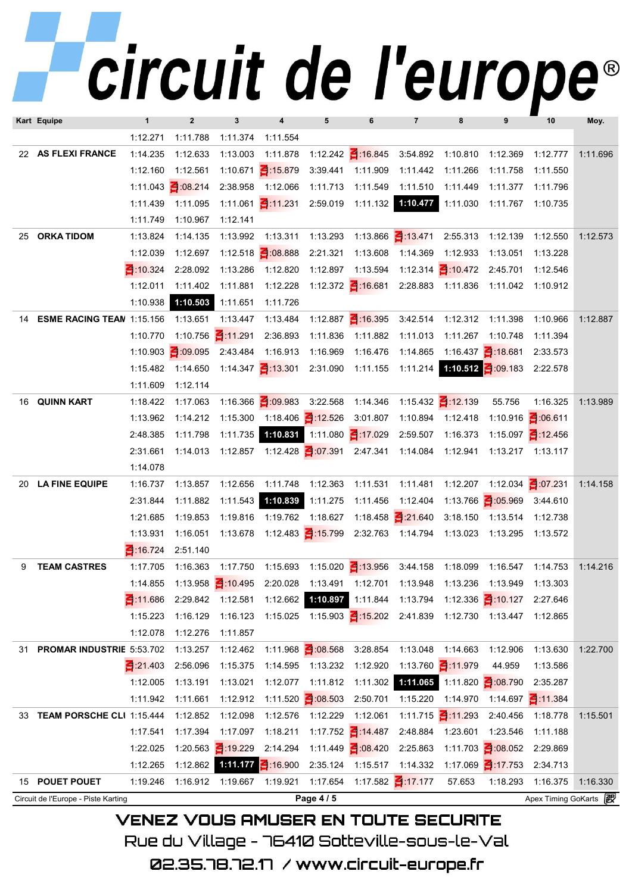## circuit de l'europe®

|    | Kart Equipe                         | 1                      | $\overline{2}$       | $\mathbf{3}$         | 4                                      | 5                             | 6                               | $\overline{7}$                                                                 | 8                              | 9                             | 10                    | Moy.     |
|----|-------------------------------------|------------------------|----------------------|----------------------|----------------------------------------|-------------------------------|---------------------------------|--------------------------------------------------------------------------------|--------------------------------|-------------------------------|-----------------------|----------|
|    |                                     | 1:12.271               | 1:11.788             | 1:11.374             | 1:11.554                               |                               |                                 |                                                                                |                                |                               |                       |          |
|    | 22 AS FLEXI FRANCE                  | 1:14.235               | 1:12.633             | 1:13.003             | 1:11.878                               |                               |                                 | 1:12.242 1:16.845 3:54.892 1:10.810                                            |                                | 1:12.369                      | 1:12.777              | 1:11.696 |
|    |                                     | 1:12.160               | 1:12.561             |                      | 1:10.671 15.879                        |                               | 3:39.441 1:11.909               | 1:11.442                                                                       | 1:11.266                       | 1:11.758                      | 1:11.550              |          |
|    |                                     | 1:11.043               | 3:08.214             |                      | 2:38.958 1:12.066                      | 1:11.713                      | 1:11.549                        | 1:11.510                                                                       | 1:11.449                       | 1:11.377                      | 1:11.796              |          |
|    |                                     | 1:11.439               | 1:11.095             |                      |                                        |                               |                                 | 1:11.061 $\frac{2}{3}$ :11.231 2:59.019 1:11.132 1:10.477 1:11.030 1:11.767    |                                |                               | 1:10.735              |          |
|    |                                     | 1:11.749               | 1:10.967             | 1:12.141             |                                        |                               |                                 |                                                                                |                                |                               |                       |          |
| 25 | <b>ORKA TIDOM</b>                   | 1:13.824               | 1:14.135             |                      | 1:13.992  1:13.311                     |                               |                                 | 1:13.293  1:13.866  1:13.471  2:55.313  1:12.139                               |                                |                               | 1:12.550              | 1:12.573 |
|    |                                     | 1:12.039               | 1:12.697             |                      | 1:12.518 1:08.888                      | 2:21.321                      | 1:13.608                        | 1:14.369                                                                       | 1:12.933                       | 1:13.051                      | 1:13.228              |          |
|    |                                     | 324                    | 2:28.092             | 1:13.286             | 1:12.820                               | 1:12.897                      | 1:13.594                        |                                                                                | 1:12.314 1:10.472 2:45.701     |                               | 1:12.546              |          |
|    |                                     | 1:12.011               | 1:11.402             | 1:11.881             | 1:12.228                               |                               | 1:12.372 1:16.681               |                                                                                |                                | 2:28.883 1:11.836 1:11.042    | 1:10.912              |          |
|    |                                     | 1:10.938               | 1:10.503             | 1:11.651             | 1:11.726                               |                               |                                 |                                                                                |                                |                               |                       |          |
| 14 | <b>ESME RACING TEAN 1:15.156</b>    |                        | 1:13.651  1:13.447   |                      | 1:13.484                               |                               |                                 | $1:12.887$ $\leq 1:16.395$ $3:42.514$ $1:12.312$ $1:11.398$                    |                                |                               | 1:10.966              | 1:12.887 |
|    |                                     | 1:10.770               | 1:10.756 11.291      |                      | 2:36.893                               | 1:11.836                      | 1:11.882 1:11.013               |                                                                                |                                | 1:11.267 1:10.748             | 1:11.394              |          |
|    |                                     | 1:10.903               | 3:09.095             | 2:43.484             | 1:16.913                               | 1:16.969                      | 1:16.476 1:14.865               |                                                                                |                                | 1:16.437 $\frac{3}{1}$ 18.681 | 2:33.573              |          |
|    |                                     | 1:15.482               | 1:14.650             |                      |                                        |                               |                                 | $1:14.347$ $4:13.301$ $2:31.090$ $1:11.155$ $1:11.214$ $1:10.512$ $4:09.183$   |                                |                               | 2:22.578              |          |
|    |                                     | 1:11.609               | 1:12.114             |                      |                                        |                               |                                 |                                                                                |                                |                               |                       |          |
|    | 16 QUINN KART                       | 1:18.422               | 1:17.063             |                      |                                        |                               |                                 | 1:16.366 $\leq$ 1:09.983 3:22.568 1:14.346 1:15.432 $\leq$ 1:12.139            |                                | 55.756                        | 1:16.325              | 1:13.989 |
|    |                                     | 1:13.962               | 1:14.212             | 1:15.300             | 1:18.406 1:12.526 3:01.807             |                               |                                 |                                                                                | 1:10.894 1:12.418              | 1:10.916 <b>3:06.611</b>      |                       |          |
|    |                                     | 2:48.385               | 1:11.798             | 1:11.735             |                                        |                               |                                 | 2:59.507 1:16.373                                                              |                                |                               | 1:15.097 12.456       |          |
|    |                                     | 2:31.661               | 1:14.013             |                      |                                        |                               |                                 |                                                                                |                                |                               | 1:13.217 1:13.117     |          |
|    |                                     | 1:14.078               |                      |                      |                                        |                               |                                 |                                                                                |                                |                               |                       |          |
| 20 | <b>LA FINE EQUIPE</b>               | 1:16.737               | 1:13.857             | 1:12.656             |                                        |                               |                                 | $1:11.748$ $1:12.363$ $1:11.531$ $1:11.481$ $1:12.207$ $1:12.034$ $1:07.231$   |                                |                               |                       | 1:14.158 |
|    |                                     | 2:31.844               | 1:11.882             | 1:11.543             | 1:10.839                               |                               |                                 | 1:11.275  1:11.456  1:12.404  1:13.766  1:05.969                               |                                |                               | 3:44.610              |          |
|    |                                     | 1:21.685               | 1:19.853             |                      | 1:19.816 1:19.762                      |                               | 1:18.627  1:18.458   21.640     |                                                                                |                                | 3:18.150  1:13.514  1:12.738  |                       |          |
|    |                                     | 1:13.931               | 1:16.051             |                      |                                        |                               |                                 | 1:13.678  1:12.483  1:15.799  2:32.763  1:14.794  1:13.023  1:13.295  1:13.572 |                                |                               |                       |          |
|    |                                     | 3 16.724               | 2:51.140             |                      |                                        |                               |                                 |                                                                                |                                |                               |                       |          |
| 9  | <b>TEAM CASTRES</b>                 | 1:17.705               |                      |                      |                                        |                               |                                 | 1:16.363  1:17.750  1:15.693  1:15.020  1:13.956  3:44.158  1:18.099           |                                | 1:16.547                      | 1:14.753              | 1:14.216 |
|    |                                     | 1:14.855               |                      |                      |                                        |                               |                                 | 1:13.958 1:10.495 2:20.028 1:13.491 1:12.701 1:13.948 1:13.236                 |                                | 1:13.949 1:13.303             |                       |          |
|    |                                     | $\blacksquare$ :11.686 | 2:29.842             | 1:12.581<br>1:16.123 |                                        |                               |                                 | 1:12.662 1:10.897 1:11.844 1:13.794 1:12.336 1:10.127 2:27.646                 |                                |                               |                       |          |
|    |                                     | 1:15.223<br>1:12.078   | 1:16.129<br>1:12.276 | 1:11.857             |                                        |                               |                                 |                                                                                |                                |                               |                       |          |
| 31 | PROMAR INDUSTRIE 5:53.702           |                        | 1:13.257             |                      | 1:12.462  1:11.968  1:08.568  3:28.854 |                               |                                 | 1:13.048                                                                       | 1:14.663                       | 1:12.906                      | 1:13.630              | 1:22.700 |
|    |                                     | 21.403                 | 2:56.096             |                      | 1:15.375 1:14.595                      | 1:13.232 1:12.920             |                                 |                                                                                | 1:13.760 11.979                | 44.959                        | 1:13.586              |          |
|    |                                     | 1:12.005               | 1:13.191             | 1:13.021             | 1:12.077                               |                               |                                 | 1:11.812  1:11.302  1:11.065  1:11.820  1:08.790                               |                                |                               | 2:35.287              |          |
|    |                                     | 1:11.942               | 1:11.661             | 1:12.912             |                                        | 1:11.520 $\frac{3}{5}$ 08.503 | 2:50.701                        | 1:15.220                                                                       | 1:14.970                       | 1:14.697 11.384               |                       |          |
| 33 | TEAM PORSCHE CLI 1:15.444           |                        | 1:12.852             | 1:12.098             | 1:12.576                               | 1:12.229                      | 1:12.061                        |                                                                                | 1:11.715 $\frac{2}{11}$ 11.293 | 2:40.456                      | 1:18.778              | 1:15.501 |
|    |                                     | 1:17.541               | 1:17.394             | 1:17.097             | 1:18.211                               |                               | 1:17.752 14.487                 | 2:48.884                                                                       | 1:23.601                       | 1:23.546                      | 1:11.188              |          |
|    |                                     | 1:22.025               |                      | 1:20.563 19.229      | 2:14.294                               |                               | 1:11.449 $\frac{3}{100}$ 08.420 | 2:25.863                                                                       |                                | 1:11.703 3:08.052             | 2:29.869              |          |
|    |                                     | 1:12.265               | 1:12.862             |                      | 1:11.177 $\leq$ 16.900                 |                               | 2:35.124 1:15.517 1:14.332      |                                                                                |                                | 1:17.069 $\frac{2}{3}$ 17.753 | 2:34.713              |          |
|    | 15 POUET POUET                      | 1:19.246               | 1:16.912             |                      | 1:19.667 1:19.921                      | 1:17.654                      |                                 | 1:17.582 17.177                                                                | 57.653                         | 1:18.293                      | 1:16.375              | 1:16.330 |
|    | Circuit de l'Europe - Piste Karting |                        |                      |                      |                                        | Page 4 / 5                    |                                 |                                                                                |                                |                               | Apex Timing GoKarts 2 |          |
|    |                                     |                        |                      |                      |                                        |                               |                                 |                                                                                |                                |                               |                       |          |

**VENEZ VOUS AMUSER EN TOUTE SECURITE** Rue du Village – 76410 Sotteville-sous-le-Val

02.35.78.72.17 /www.circuit-europe.fr